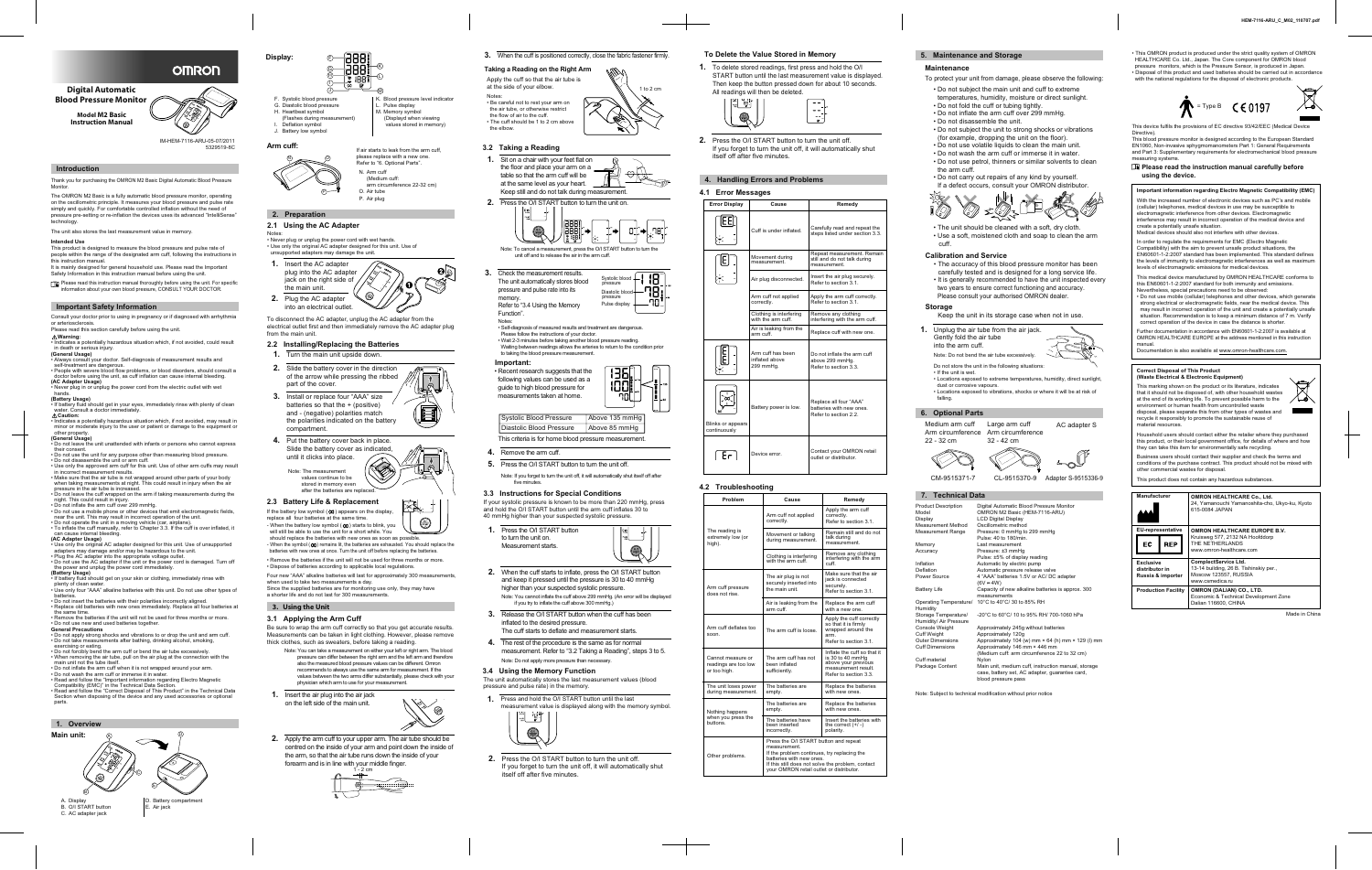P



**Digital Automatic Blood Pressure Monitor**

> **Model M2 Basic Instruction Manual**

#### **Introduction**

Thank you for purchasing the OMRON M2 Basic Digital Automatic Blood Pressure Monitor.

The OMRON M2 Basic is a fully automatic blood pressure monitor, operating on the oscillometric principle. It measures your blood pressure and pulse rate simply and quickly. For comfortable controlled inflation without the need of pressure pre-setting or re-inflation the devices uses its advanced "IntelliSense" technology.

The unit also stores the last measurement value in memory.

#### **Intended Use**

- This product is designed to measure the blood pressure and pulse rate of people within the range of the designated arm cuff, following the instructions in
- this instruction manual. It is mainly designed for general household use. Please read the Important
- Safety Information in this instruction manual before using the unit.
- Please read this instruction manual thoroughly before using the unit. For specific information about your own blood pressure, CONSULT YOUR DOCTOR.

- Consult your doctor prior to using in pregnancy or if diagnosed with arrhythmia or arteriosclerosis.
- Please read this section carefully before using the unit.

#### **Warning:**

- Indicates a potentially hazardous situation which, if not avoided, could result in death or serious injury.
- **(General Usage)** • Always consult your doctor. Self-diagnosis of measurement results and
- self-treatment are dangerous. • People with severe blood flow problems, or blood disorders, should consult a
- doctor before using the unit, as cuff inflation can cause internal bleeding. **(AC Adapter Usage)**  • Never plug in or unplug the power cord from the electric outlet with wet
- hands.
- **(Battery Usage)**
- If battery fluid should get in your eyes, immediately rinse with plenty of clean water. Consult a doctor immediate **Caution:**
- Indicates a potentially hazardous situation which, if not avoided, may result in minor or moderate injury to the user or patient or damage to the equipment or other property.

#### **(General Usage)**

- Do not leave the unit unattended with infants or persons who cannot express their consent.
- Do not use the unit for any purpose other than measuring blood pressure.
- Do not disassemble the unit or arm cuff.
- Use only the approved arm cuff for this unit. Use of other arm cuffs may result in incorrect measurement results. • Make sure that the air tube is not wrapped around other parts of your body
- when taking measurements at night. This could result in injury when the air pressure in the air tube is increased
- Do not leave the cuff wrapped on the arm if taking measurements during the night. This could result in injury. • Do not inflate the arm cuff over 299 mmHg.
- Do not use a mobile phone or other devices that emit electromagnetic fields,
- near the unit. This may result in incorrect operation of the unit. • Do not operate the unit in a moving vehicle (car, airplane).
- To inflate the cuff manually, refer to Chapter 3.3. If the cuff is over inflated, it can cause internal bleeding.
- **(AC Adapter Usage)**
- Use only the original AC adapter designed for this unit. Use of unsupported adapters may damage and/or may be hazardous to the unit.
- Plug the AC adapter into the appropriate voltage outlet. • Do not use the AC adapter if the unit or the power cord is damaged. Turn off
- the power and unplug the power cord immediatel **(Battery Usage)**
- 
- If battery fluid should get on your skin or clothing, immediately rinse with plenty of clean water. • Use only four "AAA" alkaline batteries with this unit. Do not use other types of
- batteries.<br>Do not inser eries with their polarities inc
- Replace old batteries with new ones immediately. Replace all four batteries at the same time. • Remove the batteries if the unit will not be used for three months or more.
- Do not use new and used batteries together. **General Precautions**
- Do not apply strong shocks and vibrations to or drop the unit and arm cuff. • Do not take measurements after bathing, drinking alcohol, smoking,
- exercising or eating. • Do not forcibly bend the arm cuff or bend the air tube excessively. • When removing the air tube, pull on the air plug at the connection with the
- 
- main unit not the tube itself.
- Do not inflate the arm cuff when it is not wrapped around your arm. • Do not wash the arm cuff or immerse it in water.
- Read and follow the "Important information regarding Electro Magnetic
- Compatibility (EMC)" in the Technical Data Section. • Read and follow the "Correct Disposal of This Product" in the Technical Data
- Section when disposing of the device and any used accessories or optional parts.



. Pulse display 1. Memory symbol (Displayd when viewing values stored in memory)

- **1.** Sit on a chair with your feet flat on the floor and place your arm on a table so that the arm cuff will be at the same level as your heart. Keep still and do not talk during measurement.
- **2.** Press the O/I START button to turn the unit on.

#### **4.1 Error Messages Error Display Cause Remedy 2.1 Using the AC Adapter** excess the soft, dry cloth. Cuff is under inflated.  $\Big|$  Carefully read and repeat the teps listed under section 3.3 Repeat measurement. Remai Movement during still and do not talk during measurement. measurement. Air plug disconnected.  $\left| \right|$  Insert the air plug securely. Refer to section 3.1. Apply the arm cuff correctly. Arm cuff not applied Refer to section 3.1. correctly. Clothing is interfering Remove any clothing interfering with the arm cuff. with the arm cuff. Air is leaking from the<br>arm cuff. Replace cuff with new one. Arm cuff has been Do not inflate the arm cuff inflated above above 299 mmHg. 299 mmHg. Refer to section 3.3. Replace all four "AAA" Battery power is low. batteries with new ones. Refer to section 2.2. Blinks or appears continuously Device error. Contact your OMRON retail ∣ Er^

#### **Important Safety Information**

B. O/I START button C. AC adapter jack

Digital Automatic Blood Pressure Monitor OMRON M2 Basic (HEM-7116-ARU) LCD Digital Display Oscillometric method Pressure: 0 mmHg to 299 mmHg Pulse: 40 to 180/min. Pressure: ±3 mmHg Automatic by electric pump Automatic pressure release valve 4 "AAA" batteries 1.5V or AC/ DC adapter  $(6V - 4W)$ 

please replace with a new one. Refer to "6. Optional Parts".

N. Arm cuff (Medium cuff:

arm circumference 22-32 cm)

O. Air tube P. Air plug

**Display:** 

F. Systolic blood pressure G. Diastolic blood pressure H. Heartbeat symbol

(Flashes during measurement)

I. Deflation symbol J. Battery low symbol K. Blood pressure level indicator



#### **3.2 Taking a Reading**

**1.** To delete stored readings, first press and hold the O/I START button until the last measurement value is displayed. Then keep the button pressed down for about 10 seconds. All readings will then be deleted.



**2.** Press the O/I START button to turn the unit off. If you forget to turn the unit off, it will automatically shut itself off after five minutes.

## **To Delete the Value Stored in Memory**

# **4. Handling Errors and Problems**

- **4.** Remove the arm cuff.
- **5.** Press the O/I START button to turn the unit off.
	- Note: If you forget to turn the unit off, it will automatically shut itself off after five minutes

outlet or distributor.

| Problem                                                   | Cause                                                                                                                                                                                                                             | Remedy                                                                                                                 |
|-----------------------------------------------------------|-----------------------------------------------------------------------------------------------------------------------------------------------------------------------------------------------------------------------------------|------------------------------------------------------------------------------------------------------------------------|
|                                                           | Arm cuff not applied<br>correctly.                                                                                                                                                                                                | Apply the arm cuff<br>correctly.<br>Refer to section 3.1.                                                              |
| The reading is<br>extremely low (or<br>high).             | Movement or talking<br>during measurement.                                                                                                                                                                                        | Remain still and do not<br>talk during<br>measurement.                                                                 |
|                                                           | Clothing is interfering<br>with the arm cuff.                                                                                                                                                                                     | Remove any clothing<br>interfering with the arm<br>cuff.                                                               |
| Arm cuff pressure<br>does not rise.                       | The air plug is not<br>securely inserted into<br>the main unit.                                                                                                                                                                   | Make sure that the air<br>jack is connected<br>securely.<br>Refer to section 3.1.                                      |
|                                                           | Air is leaking from the<br>arm cuff.                                                                                                                                                                                              | Replace the arm cuff<br>with a new one.                                                                                |
| Arm cuff deflates too<br>soon.                            | The arm cuff is loose.                                                                                                                                                                                                            | Apply the cuff correctly<br>so that it is firmly<br>wrapped around the<br>arm.<br>Refer to section 3.1.                |
| Cannot measure or<br>readings are too low<br>or too high. | The arm cuff has not<br>been inflated<br>sufficiently.                                                                                                                                                                            | Inflate the cuff so that it<br>is 30 to 40 mmHq<br>above your previous<br>measurement result.<br>Refer to section 3.3. |
| The unit loses power<br>during measurement.               | The batteries are<br>empty.                                                                                                                                                                                                       | Replace the batteries<br>with new ones.                                                                                |
| Nothing happens                                           | The batteries are<br>empty.                                                                                                                                                                                                       | Replace the batteries<br>with new ones.                                                                                |
| when you press the<br>buttons.                            | The batteries have<br>been inserted<br>incorrectly.                                                                                                                                                                               | Insert the batteries with<br>the correct $(+/-)$<br>polarity.                                                          |
| Other problems.                                           | Press the O/I START button and repeat<br>measurement.<br>If the problem continues, try replacing the<br>batteries with new ones.<br>If this still does not solve the problem, contact<br>your OMRON retail outlet or distributor. |                                                                                                                        |

**Manufacturer OMRON HEALTHCARE Co., Ltd.** amanouchi Yamanoshita-cho, Ukyo-ku, Kyoto 0084 JAPAN

**RON HEALTHCARE EUROPE B.V.** weg 577, 2132 NA Hoofddorp NETHERLANDS .omron-healthcare.com

## **4.2 Troubleshooting**

## **5. Maintenance and Storage**

#### **Maintenance**

- To protect your unit from damage, please observe the following: • Do not subject the main unit and cuff to extreme
- 
- temperatures, humidity, moisture or direct sunlight.
- Do not fold the cuff or tubing tightly.
- Do not inflate the arm cuff over 299 mmHg.
- Do not disassemble the unit.
- Do not subject the unit to strong shocks or vibrations (for example, dropping the unit on the floor).
- Do not use volatile liquids to clean the main unit.
- Do not wash the arm cuff or immerse it in water. • Do not use petrol, thinners or similar solvents to clean the arm cuff.
- Do not carry out repairs of any kind by yourself.

#### $C \in 0197$ = Type B





Product Description Model Display Measurement Method

Measurement Range Memory

Accuracy

Inflation Deflation Power Source

Battery Life

Humidity Storage Temperature/ -20°C to 60°C/ 10 to 95% RH/ 700-1060 hPa Console Weight Cuff Weight

Cuff Dimensions Cuff material

Package Content

Operating Temperature/ 10°C to 40°C/ 30 to 85% RH measurements

Last measurement Pulse: ±5% of display reading

Humidity/ Air Pressure Outer Dimensions Approximately 245g without batteries Approximately 120g Approximately 104 (w) mm  $\times$  64 (h) mm  $\times$  129 (l) mm Approximately 146 mm × 446 mm (Medium cuff: arm circumference 22 to 32 cm) Nylon Main unit, medium cuff, instruction manual, storage

Capacity of new alkaline batteries is approx. 300

case, battery set, AC adapter, guarantee card,

blood pressure pass

# **7. Technical Data**

Note: Subject to technical modification without prior notice



## **6. Optional Parts**



- Keep the unit in its storage case when not in use.
- **1.** Unplug the air tube from the air jack.
- Gently fold the air tube into the arm cuff.

- Do not store the unit in the following situations: • If the unit is wet.
- Locations exposed to extreme temperatures, humidity, direct sunlight, dust or corrosive vapours. • Locations exposed to vibrations, shocks or where it will be at risk of
- falling.

Medium arm cuff Large arm cuff Arm circumference Arm circumference 22 - 32 cm 32 - 42 cm



AC adapter S

CM-9515371-7 CL-9515370-9 Adapter S-9515336-9

#### **Calibration and Service**

- The accuracy of this blood pressure monitor has been carefully tested and is designed for a long service life.
- It is generally recommended to have the unit inspected every two years to ensure correct functioning and accuracy.

## Please consult your authorised OMRON dealer. **Storage**

**Important information regarding Electro Magnetic Compatibility (EMC)**

With the increased number of electronic devices such as PC's and mobile (cellular) telephones, medical devices in use may be susceptible to electromagnetic interference from other devices. Electromagnetic interference may result in incorrect operation of the medical device and create a potentially unsafe situation. Medical devices should also not interfere with other devices.

In order to regulate the requirements for EMC (Electro Magnetic Compatibility) with the aim to prevent unsafe product situations, the EN60601-1-2:2007 standard has been implemented. This standard defines the levels of immunity to electromagnetic interferences as well as maximum levels of electromagnetic emissions for medical devices.

This medical device manufactured by OMRON HEALTHCARE conforms to this EN60601-1-2:2007 standard for both immunity and emissions.

Nevertheless, special precautions need to be observed:

• Do not use mobile (cellular) telephones and other devices, which generate strong electrical or electromagnetic fields, near the medical device. This may result in incorrect operation of the unit and create a potentially unsafe situation. Recommendation is to keep a minimum distance of 7 m. Verify

correct operation of the device in case the distance is shorter.

manual

Further documentation in accordance with EN60601-1-2:2007 is available at OMRON HEALTHCARE EUROPE at the address mentioned in this instruction

Documentation is also available at www.omron-healthcare.com.



#### Notes:

• Self-diagnosis of measured results and treatment are dangerous. Please follow the instructions of your doctor. • Wait 2-3 minutes before taking another blood pressure reading. Waiting between readings allows the arteries to return to the condition prior

to taking the blood pressure measurement.



## **Important:**







- **1.** Press the O/I START button to turn the unit on. Measurement starts.
- **2.** When the cuff starts to inflate, press the O/I START button and keep it pressed until the pressure is 30 to 40 mmHg higher than your suspected systolic pressure. Note: You cannot inflate the cuff above 299 mmHg. (An error will be displayed if you try to inflate the cuff above 300 mmHg.)
- **3.** Release the O/I START button when the cuff has been inflated to the desired pressure. The cuff starts to deflate and measurement starts.
- **4.** The rest of the procedure is the same as for normal measurement. Refer to "3.2 Taking a Reading", steps 3 to 5. Note: Do not apply more pressure than necessary.

**2.** Press the O/I START button to turn the unit off. If you forget to turn the unit off, it will automatically shut

itself off after five minutes.



**1.** Press and hold the O/I START button until the last

#### **3.4 Using the Memory Function** The unit automatically stores the last measurement values (blood pressure and pulse rate) in the memory.

measurement value is displayed along with the memory symbol.



## **3.** When the cuff is positioned correctly, close the fabric fastener firmly.

#### **3. Using the Unit**

Be sure to wrap the arm cuff correctly so that you get accurate results. Measurements can be taken in light clothing. However, please remove thick clothes, such as sweaters, before taking a reading.

#### **3.1 Applying the Arm Cuff**

**2.** Apply the arm cuff to your upper arm. The air tube should be centred on the inside of your arm and point down the inside of the arm, so that the air tube runs down the inside of your forearm and is in line with your middle finger.

- Note: You can take a measurement on either your left or right arm. The blood pressure can differ between the right arm and the left arm and therefore also the measured blood pressure values can be different. Omron recommends to always use the same arm for measurement. If the values between the two arms differ substantially, please check with your physician which arm to use for your measurement.
- **1.** Insert the air plug into the air jack on the left side of the main unit.



# Apply the cuff so that the air tube is at the side of your elbow. **Taking a Reading on the Right Arm**

- Notes: • Be careful not to rest your arm on the air tube, or otherwise restrict the flow of air to the cuff.
- The cuff should be 1 to 2 cm above the elbow.







Made in China

**ComplectService Ltd.** building, 26 B. Tishinskiy per., cow 123557, RUSSIA csmedica.ru **OMRON (DALIAN) CO., LTD.** omic & Technical Development Zone Dalian 116600, CHINA

| <b>Manufacturer</b>                                     |                            | <b>OMR</b><br>24, Y<br>$615 - C$ |
|---------------------------------------------------------|----------------------------|----------------------------------|
| <b>EU-representative</b>                                |                            | <b>OMR</b>                       |
| ЕC                                                      | <b>REP</b>                 | <b>Kruis</b><br>THE I<br>www.    |
| <b>Exclusive</b><br>distributor in<br>Russia & importer |                            | Com<br>$13 - 14$<br>Mosc<br>www. |
|                                                         | <b>Production Facility</b> | <b>OMR</b><br>Econ<br>Dalia      |

- **3.** Check the measurement results. The unit automatically stores blood pressure and pulse rate into its
- memory. Refer to "3.4 Using the Memory Function".

This marking shown on the product or its literature, indicates that it should not be disposed of, with other household wastes at the end of its working life. To prevent possible harm to the environment or human health from uncontrolled waste disposal, please separate this from other types of wastes and recycle it responsibly to promote the sustainable reuse of material resources. **(Waste Electrical & Electronic Equipment)**

Household users should contact either the retailer where they purchased this product, or their local government office, for details of where and how they can take this item for environmentally safe recycling.

Business users should contact their supplier and check the terms and conditions of the purchase contract. This product should not be mixed with other commercial wastes for disposal. This product does not contain any hazardous substances.

# **Correct Disposal of This Product**

• This OMRON product is produced under the strict quality system of OMRON HEALTHCARE Co. Ltd., Japan. The Core component for OMRON blood pressure monitors, which is the Pressure Sensor, is produced in Japan. • Disposal of this product and used batteries should be carried out in accordance with the national regulations for the disposal of electronic products.

This device fulfils the provisions of EC directive 93/42/EEC (Medical Device Directive). This blood pressure monitor is designed according to the European Standard EN1060, Non-invasive sphygmomanometers Part 1: General Requirements and Part 3: Supplementary requirements for electromechanical blood pressure

measuring systems. **using the device.**

**Please read the instruction manual carefully before** 

**2. Preparation**

Notes:

• Never plug or unplug the power cord with wet hands.

• Use only the original AC adapter designed for this unit. Use of

unsupported adapters may damage the unit.

**1.** Insert the AC adapter plug into the AC adapter jack on the right side of

the main unit. **2.** Plug the AC adapter

into an electrical outlet.

To disconnect the AC adapter, unplug the AC adapter from the

electrical outlet first and then immediately remove the AC adapter plug

**Arm cuff: If air starts to leak from the arm cuff,** 

from the main unit.

- **2.2 Installing/Replacing the Batteries 1.** Turn the main unit upside down. **2.** Slide the battery cover in the direction of the arrow while pressing the ribbed
- part of the cover. **3.** Install or replace four "AAA" size batteries so that the + (positive) and - (negative) polarities match the polarities indicated on the battery compartment.

 $\omega$   $\sim$   $\omega$ 

- **4.** Put the battery cover back in place. Slide the battery cover as indicated, until it clicks into place.
	- Note: The measurement values continue to be stored in memory even after the batteries are replaced.
- **2.3 Battery Life & Replacement** If the battery low symbol  $(\star\!\!\!\!\!\!\star)$  appears on the display,
- When the battery low symbol (  $\sharp$ ) starts to blink, you will still be able to use the unit for a short while. You should replace the batteries with new ones as soon as possible. - When the symbol  $(x)$  remains lit, the batteries are exhausted. You should replace the replace all four batteries at the same time.
- batteries with new ones at once. Turn the unit off before replacing the batteries. • Remove the batteries if the unit will not be used for three months or more.
- Four new "AAA" alkaline batteries will last for approximately 300 measurements, • Dispose of batteries according to applicable local regulations.
- when used to take two measurements a day. Since the supplied batteries are for monitoring use only, they may have

a shorter life and do not last for 300 measurements.



cuff.

K

M

L

F

H

J

G

I

• Recent research suggests that the following values can be used as a guide to high blood pressure for measurements taken at home.

|                                          | Systolic Blood Pressure  | Aboy |  |
|------------------------------------------|--------------------------|------|--|
|                                          | Diastolic Blood Pressure | Aboy |  |
| This criteria is for home blood pressure |                          |      |  |

If your systolic pressure is known to be more than 220 mmHg, press and hold the O/I START button until the arm cuff inflates 30 to 40 mmHg higher than your suspected systolic pressure.

## **3.3 Instructions for Special Conditions**



5329519-8C